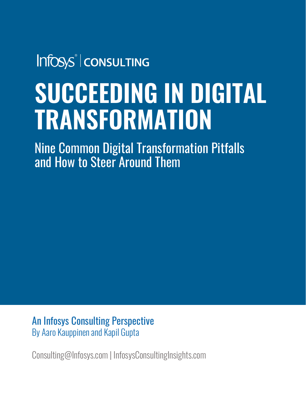Infosys® | consulting

# **SUCCEEDING IN DIGITAL TRANSFORMATION**

Nine Common Digital Transformation Pitfalls and How to Steer Around Them

An Infosys Consulting Perspective By Aaro Kauppinen and Kapil Gupta

Consulting@Infosys.com | InfosysConsultingInsights.com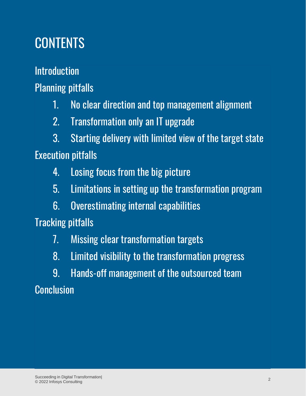# **CONTENTS**

Introduction

Planning pitfalls

- 1. No clear direction and top management alignment
- 2. Transformation only an IT upgrade

3. Starting delivery with limited view of the target state Execution pitfalls

- 4. Losing focus from the big picture
- 5. Limitations in setting up the transformation program
- 6. Overestimating internal capabilities

Tracking pitfalls

- 7. Missing clear transformation targets
- 8. Limited visibility to the transformation progress
- 9. Hands-off management of the outsourced team

**Conclusion**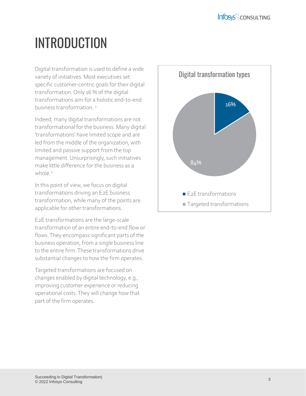# INTRODUCTION

Digital transformation is used to define a wide variety of initiatives. Most executives set specific customer-centric goals for their digital transformation. Only 16 % of the digital transformations aim for a holistic end-to-end business transformation<sup>1</sup>

Indeed, many digital transformations are not transformational for the business. Many digital 'transformations' have limited scope and are led from the middle of the organization, with limited and passive support from the top management. Unsurprisingly, such initiatives make little difference for the business as a  $whole<sup>2</sup>$ 

In this point of view, we focus on digital transformations driving an E2E business transformation, while many of the points are applicable for other transformations.

E2E transformations are the large-scale transformation of an entire end-to-end flow or flows. They encompass significant parts of the business operation, from a single business line to the entire firm. These transformations drive substantial changes to how the firm operates.

Targeted transformations are focused on changes enabled by digital technology, e.g., improving customer experience or reducing operational costs. They will change how that part of the firm operates.

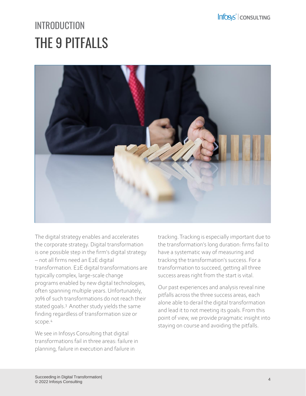# THE 9 PITFALLS **INTRODUCTION**



The digital strategy enables and accelerates the corporate strategy. Digital transformation is one possible step in the firm's digital strategy – not all firms need an E2E digital transformation. E2E digital transformations are typically complex, large-scale change programs enabled by new digital technologies, often spanning multiple years. Unfortunately, 70% of such transformations do not reach their stated goals.<sup>3</sup> Another study yields the same finding regardless of transformation size or scope.<sup>4</sup>

We see in Infosys Consulting that digital transformations fail in three areas: failure in planning, failure in execution and failure in

tracking. Tracking is especially important due to the transformation's long duration: firms fail to have a systematic way of measuring and tracking the transformation's success. For a transformation to succeed, getting all three success areas right from the start is vital.

Our past experiences and analysis reveal nine pitfalls across the three success areas, each alone able to derail the digital transformation and lead it to not meeting its goals. From this point of view, we provide pragmatic insight into staying on course and avoiding the pitfalls.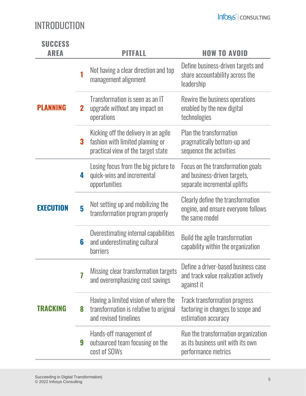### INTRODUCTION

| <b>SUCCESS</b><br>AREA |             | PITFALL                                                                                                        | <b>HOW TO AVOID</b>                                                                               |
|------------------------|-------------|----------------------------------------------------------------------------------------------------------------|---------------------------------------------------------------------------------------------------|
| PLANNING               |             | Not having a clear direction and top<br>management alignment                                                   | Define business-driven targets and<br>share accountability across the<br>leadership               |
|                        | $\mathbf 2$ | Transformation is seen as an IT<br>upgrade without any impact on<br>operations                                 | Rewire the business operations<br>enabled by the new digital<br>technologies                      |
|                        | 3           | Kicking off the delivery in an agile<br>fashion with limited planning or<br>practical view of the target state | Plan the transformation<br>pragmatically bottom-up and<br>sequence the activities                 |
| <b>EXECUTION</b>       | 4           | Losing focus from the big picture to<br>quick-wins and incremental<br>opportunities                            | Focus on the transformation goals<br>and business-driven targets,<br>separate incremental uplifts |
|                        | 5           | Not setting up and mobilizing the<br>transformation program properly                                           | Clearly define the transformation<br>engine, and ensure everyone follows<br>the same model        |
|                        | 6           | Overestimating internal capabilities<br>and underestimating cultural<br><b>barriers</b>                        | Build the agile transformation<br>capability within the organization                              |
| TRACKING               | 7           | Missing clear transformation targets<br>and overemphasizing cost savings                                       | Define a driver-based business case<br>and track value realization actively<br>against it         |
|                        | 8           | Having a limited vision of where the<br>transformation is relative to original<br>and revised timelines        | <b>Track transformation progress</b><br>factoring in changes to scope and<br>estimation accuracy  |
|                        | 9           | Hands-off management of<br>outsourced team focusing on the<br>cost of SOWs                                     | Run the transformation organization<br>as its business unit with its own<br>performance metrics   |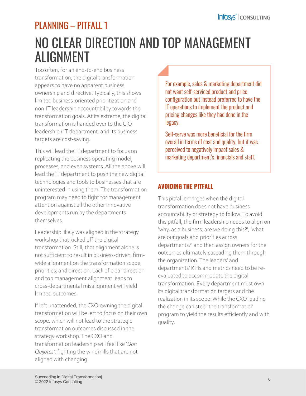### NO CLEAR DIRECTION AND TOP MANAGEMENT ALIGNMENT PLANNING – PITFALL 1

Too often, for an end-to-end business transformation, the digital transformation appears to have no apparent business ownership and directive. Typically, this shows limited business-oriented prioritization and non-IT leadership accountability towards the transformation goals. At its extreme, the digital transformation is handed over to the CIO leadership / IT department, and its business targets are cost-saving.

This will lead the IT department to focus on replicating the business operating model, processes, and even systems. All the above will lead the IT department to push the new digital technologies and tools to businesses that are uninterested in using them. The transformation program may need to fight for management attention against all the other innovative developments run by the departments themselves.

Leadership likely was aligned in the strategy workshop that kicked off the digital transformation. Still, that alignment alone is not sufficient to result in business-driven, firmwide alignment on the transformation scope, priorities, and direction. Lack of clear direction and top management alignment leads to cross-departmental misalignment will yield limited outcomes.

If left unattended, the CXO owning the digital transformation will be left to focus on their own scope, which will not lead to the strategic transformation outcomes discussed in the strategy workshop. The CXO and transformation leadership will feel like '*Don Quijotes'*, fighting the windmills that are not aligned with changing.

For example, sales & marketing department did not want self-serviced product and price configuration but instead preferred to have the IT operations to implement the product and pricing changes like they had done in the legacy.

Self-serve was more beneficial for the firm overall in terms of cost and quality, but it was perceived to negatively impact sales & marketing department's financials and staff.

#### **AVOIDING THE PITFALL**

This pitfall emerges when the digital transformation does not have business accountability or strategy to follow. To avoid this pitfall, the firm leadership needs to align on 'why, as a business, are we doing this?', 'what are our goals and priorities across departments?' and then assign owners for the outcomes ultimately cascading them through the organization. The leaders' and departments' KPIs and metrics need to be reevaluated to accommodate the digital transformation. Every department must own its digital transformation targets and the realization in its scope. While the CXO leading the change can steer the transformation program to yield the results efficiently and with quality.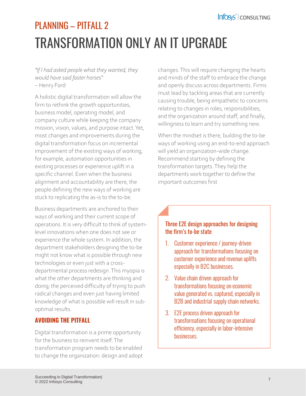# TRANSFORMATION ONLY AN IT UPGRADE PLANNING – PITFALL 2

*"If I had asked people what they wanted, they would have said faster horses"*  – Henry Ford

A holistic digital transformation will allow the firm to rethink the growth opportunities, business model, operating model, and company culture while keeping the company mission, vision, values, and purpose intact. Yet, most changes and improvements during the digital transformation focus on incremental improvement of the existing ways of working, for example, automation opportunities in existing processes or experience uplift in a specific channel. Even when the business alignment and accountability are there, the people defining the new ways of working are stuck to replicating the as-is to the to-be.

Business departments are anchored to their ways of working and their current scope of operations. It is very difficult to think of systemlevel innovations when one does not see or experience the whole system. In addition, the department stakeholders designing the to-be might not know what is possible through new technologies or even just with a crossdepartmental process redesign. This myopia is what the other departments are thinking and doing; the perceived difficulty of trying to push radical changes and even just having limited knowledge of what is possible will result in suboptimal results.

#### **AVOIDING THE PITFALL**

Digital transformation is a prime opportunity for the business to reinvent itself. The transformation program needs to be enabled to change the organization: design and adopt changes. This will require changing the hearts and minds of the staff to embrace the change and openly discuss across departments. Firms must lead by tackling areas that are currently causing trouble, being empathetic to concerns relating to changes in roles, responsibilities, and the organization around staff, and finally, willingness to learn and try something new.

When the mindset is there, building the to-be ways of working using an end-to-end approach will yield an organization-wide change. Recommend starting by defining the transformation targets. They help the departments work together to define the important outcomes first

#### Three E2E design approaches for designing the firm's to-be state

- 1. Customer experience / journey-driven approach for transformations focusing on customer experience and revenue uplifts especially in B2C businesses.
- 2. Value chain driven approach for transformations focusing on economic value generated vs. captured, especially in B2B and industrial supply chain networks.
- 3. E2E process driven approach for transformations focusing on operational efficiency, especially in labor-intensive businesses.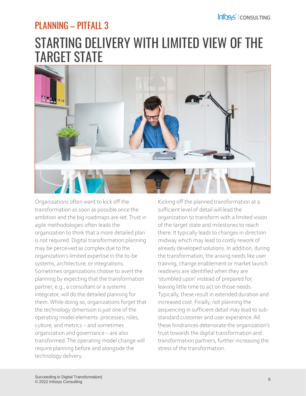### PLANNING – PITFALL 3

### STARTING DELIVERY WITH LIMITED VIEW OF THE TARGET STATE



Organizations often want to kick off the transformation as soon as possible once the ambition and the big roadmaps are set. Trust in agile methodologies often leads the organization to think that a more detailed plan is not required. Digital transformation planning may be perceived as complex due to the organization's limited expertise in the to-be systems, architecture, or integrations. Sometimes organizations choose to avert the planning by expecting that the transformation partner, e.g., a consultant or a systems integrator, will do the detailed planning for them. While doing so, organizations forget that the technology dimension is just one of the operating model elements: processes, roles, culture, and metrics – and sometimes organization and governance – are also transformed. The operating model change will require planning before and alongside the technology delivery.

Kicking off the planned transformation at a sufficient level of detail will lead the organization to transform with a limited vision of the target state and milestones to reach there. It typically leads to changes in direction midway which may lead to costly rework of already developed solutions. In addition, during the transformation, the arising needs like user training, change enablement or market launch readiness are identified when they are 'stumbled upon' instead of prepared for, leaving little time to act on those needs. Typically, these result in extended duration and increased cost. Finally, not planning the sequencing in sufficient detail may lead to substandard customer and user experience. All these hindrances deteriorate the organization's trust towards the digital transformation and transformation partners, further increasing the stress of the transformation.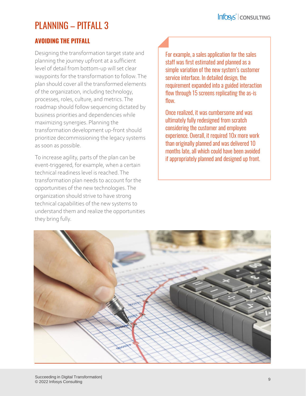### PLANNING – PITFALL 3

#### **AVOIDING THE PITFALL**

Designing the transformation target state and planning the journey upfront at a sufficient level of detail from bottom-up will set clear waypoints for the transformation to follow. The plan should cover all the transformed elements of the organization, including technology, processes, roles, culture, and metrics. The roadmap should follow sequencing dictated by business priorities and dependencies while maximizing synergies. Planning the transformation development up-front should prioritize decommissioning the legacy systems as soon as possible.

To increase agility, parts of the plan can be event-triggered, for example, when a certain technical readiness level is reached. The transformation plan needs to account for the opportunities of the new technologies. The organization should strive to have strong technical capabilities of the new systems to understand them and realize the opportunities they bring fully.

For example, a sales application for the sales staff was first estimated and planned as a simple variation of the new system's customer service interface. In detailed design, the requirement expanded into a guided interaction flow through 15 screens replicating the as-is flow.

Once realized, it was cumbersome and was ultimately fully redesigned from scratch considering the customer and employee experience. Overall, it required 10x more work than originally planned and was delivered 10 months late, all which could have been avoided if appropriately planned and designed up front.

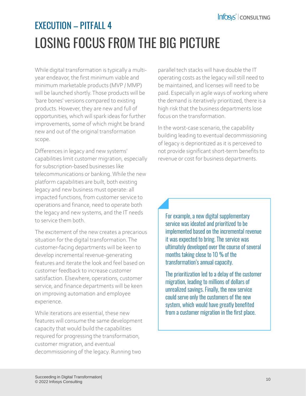# LOSING FOCUS FROM THE BIG PICTURE EXECUTION – PITFALL 4

While digital transformation is typically a multiyear endeavor, the first minimum viable and minimum marketable products (MVP / MMP) will be launched shortly. Those products will be 'bare bones' versions compared to existing products. However, they are new and full of opportunities, which will spark ideas for further improvements, some of which might be brand new and out of the original transformation scope.

Differences in legacy and new systems' capabilities limit customer migration, especially for subscription-based businesses like telecommunications or banking. While the new platform capabilities are built, both existing legacy and new business must operate: all impacted functions, from customer service to operations and finance, need to operate both the legacy and new systems, and the IT needs to service them both.

The excitement of the new creates a precarious situation for the digital transformation. The customer-facing departments will be keen to develop incremental revenue-generating features and iterate the look and feel based on customer feedback to increase customer satisfaction. Elsewhere, operations, customer service, and finance departments will be keen on improving automation and employee experience.

While iterations are essential, these new features will consume the same development capacity that would build the capabilities required for progressing the transformation, customer migration, and eventual decommissioning of the legacy. Running two

parallel tech stacks will have double the IT operating costs as the legacy will still need to be maintained, and licenses will need to be paid. Especially in agile ways of working where the demand is iteratively prioritized, there is a high risk that the business departments lose focus on the transformation.

In the worst-case scenario, the capability building leading to eventual decommissioning of legacy is deprioritized as it is perceived to not provide significant short-term benefits to revenue or cost for business departments.

For example, a new digital supplementary service was ideated and prioritized to be implemented based on the incremental revenue it was expected to bring. The service was ultimately developed over the course of several months taking close to 10 % of the transformation's annual capacity.

The prioritization led to a delay of the customer migration, leading to millions of dollars of unrealized savings. Finally, the new service could serve only the customers of the new system, which would have greatly benefited from a customer migration in the first place.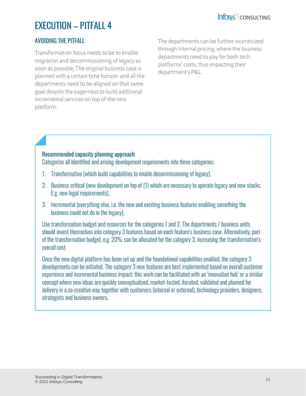### EXECUTION – PITFALL 4

#### AVOIDING THE PITFALL

Transformation focus needs to be to enable migration and decommissioning of legacy as soon as possible; The original business case is planned with a certain time horizon and all the departments need to be aligned on that same goal despite the eagerness to build additional incremental services on top of the new platform.

The departments can be further incentivized through internal pricing, where the business departments need to pay for both tech platforms' costs, thus impacting their department's P&L.

#### Recommended capacity planning approach

Categorize all identified and arising development requirements into three categories:

- 1. Transformative (which build capabilities to enable decommissioning of legacy),
- 2. Business critical (new development on top of (1) which are necessary to operate legacy and new stacks. E.g. new legal requirements),
- 3. Incremental (everything else, i.e. the new and exciting business features enabling something the business could not do in the legacy).

Use transformation budget and resources for the categories 1 and 2. The departments / business units should invest themselves into category 3 features based on each feature's business case. Alternatively, part of the transformation budget, e.g. 20%, can be allocated for the category 3, increasing the transformation's overall cost.

Once the new digital platform has been set up and the foundational capabilities enabled, the category 3 developments can be initiated. The category 3 new features are best implemented based on overall customer experience and incremental business impact; this work can be facilitated with an 'innovation hub' or a similar concept where new ideas are quickly conceptualized, market-tested, iterated, validated and planned for delivery in a co-creative way together with customers (internal or external), technology providers, designers, strategists and business owners.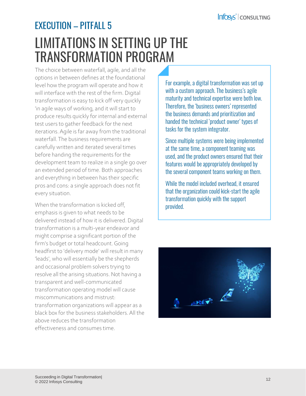### LIMITATIONS IN SETTING UP THE TRANSFORMATION PROGRAM EXECUTION – PITFALL 5

The choice between waterfall, agile, and all the options in between defines at the foundational level how the program will operate and how it will interface with the rest of the firm. Digital transformation is easy to kick off very quickly 'in agile ways of working, and it will start to produce results quickly for internal and external test users to gather feedback for the next iterations. Agile is far away from the traditional waterfall. The business requirements are carefully written and iterated several times before handing the requirements for the development team to realize in a single go over an extended period of time. Both approaches and everything in between has their specific pros and cons: a single approach does not fit every situation.

When the transformation is kicked off, emphasis is given to what needs to be delivered instead of how it is delivered. Digital transformation is a multi-year endeavor and might comprise a significant portion of the firm's budget or total headcount. Going headfirst to 'delivery mode' will result in many 'leads', who will essentially be the shepherds and occasional problem solvers trying to resolve all the arising situations. Not having a transparent and well-communicated transformation operating model will cause miscommunications and mistrust: transformation organizations will appear as a black box for the business stakeholders. All the above reduces the transformation effectiveness and consumes time.

For example, a digital transformation was set up with a custom approach. The business's agile maturity and technical expertise were both low. Therefore, the 'business owners' represented the business demands and prioritization and handed the technical 'product owner' types of tasks for the system integrator.

Since multiple systems were being implemented at the same time, a component teaming was used, and the product owners ensured that their features would be appropriately developed by the several component teams working on them.

While the model included overhead, it ensured that the organization could kick-start the agile transformation quickly with the support provided.

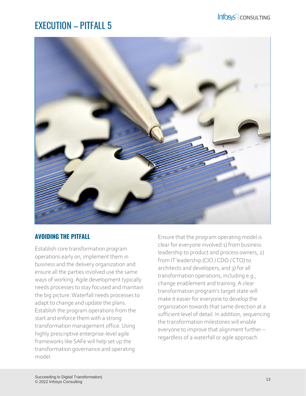### EXECUTION – PITFALL 5



#### **AVOIDING THE PITFALL**

Establish core transformation program operations early on, implement them in business and the delivery organization and ensure all the parties involved use the same ways of working. Agile development typically needs processes to stay focused and maintain the big picture. Waterfall needs processes to adapt to change and update the plans. Establish the program operations from the start and enforce them with a strong transformation management office. Using highly prescriptive enterprise-level agile frameworks like SAFe will help set up the transformation governance and operating model.

Ensure that the program operating model is clear for everyone involved 1) from business leadership to product and process owners, 2) from IT leadership (CIO / CDO / CTO) to architects and developers, and 3) for all transformation operations, including e.g., change enablement and training. A clear transformation program's target state will make it easier for everyone to develop the organization towards that same direction at a sufficient level of detail. In addition, sequencing the transformation milestones will enable everyone to improve that alignment further – regardless of a waterfall or agile approach.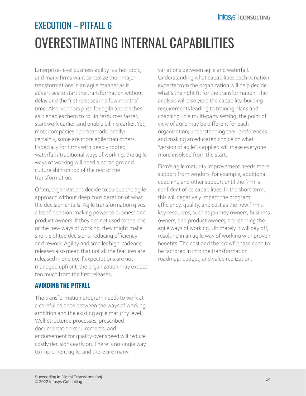# OVERESTIMATING INTERNAL CAPABILITIES EXECUTION – PITFALL 6

Enterprise-level business agility is a hot topic, and many firms want to realize their major transformations in an agile manner as it advertises to start the transformation without delay and the first releases in a few months' time. Also, vendors push for agile approaches as it enables them to roll in resources faster, start work earlier, and enable billing earlier. Yet, most companies operate traditionally; certainly, some are more agile than others. Especially for firms with deeply rooted waterfall / traditional ways of working, the agile ways of working will need a paradigm and culture shift on top of the rest of the transformation.

Often, organizations decide to pursue the agile approach without deep consideration of what the decision entails. Agile transformation gives a lot of decision-making power to business and product owners. If they are not used to the role or the new ways of working, they might make short-sighted decisions, reducing efficiency and rework. Agility and smaller high-cadence releases also mean that not all the features are released in one go; if expectations are not managed upfront, the organization may expect too much from the first releases.

#### **AVOIDING THE PITFALL**

The transformation program needs to work at a careful balance between the ways of working ambition and the existing agile maturity level. Well-structured processes, prescribed documentation requirements, and endorsement for quality over speed will reduce costly decisions early on. There is no single way to implement agile, and there are many

variations between agile and waterfall. Understanding what capabilities each variation expects from the organization will help decide what's the right fit for the transformation. The analysis will also yield the capability-building requirements leading to training plans and coaching. In a multi-party setting, the point of view of agile may be different for each organization; understanding their preferences and making an educated choice on what 'version of agile' is applied will make everyone more involved from the start.

Firm's agile maturity improvement needs more support from vendors, for example, additional coaching and other support until the firm is confident of its capabilities. In the short term, this will negatively impact the program efficiency, quality, and cost as the new firm's key resources, such as journey owners, business owners, and product owners, are learning the agile ways of working. Ultimately it will pay off, resulting in an agile way of working with proven benefits. The cost and the 'crawl' phase need to be factored in into the transformation roadmap, budget, and value realization.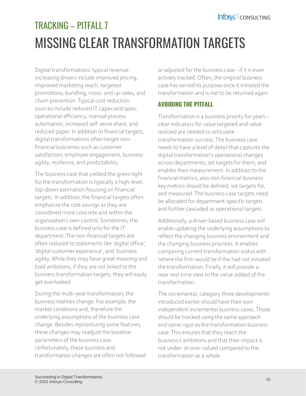# MISSING CLEAR TRANSFORMATION TARGETS TRACKING – PITFALL 7

Digital transformations' typical revenueincreasing drivers include improved pricing, improved marketing reach, targeted promotions, bundling, cross- and up-sales, and churn prevention. Typical cost reduction sources include reduced IT capex and opex, operational efficiency, manual process automation, increased self-serve share, and reduced paper. In addition to financial targets, digital transformations often target nonfinancial outcomes such as customer satisfaction, employee engagement, business agility, resilience, and predictability.

The business case that yielded the green light for the transformation is typically a high-level, top-down estimation focusing on financial targets. In addition, the financial targets often emphasize the cost savings as they are considered more concrete and within the organization's own control. Sometimes, the business case is defined only for the IT department. The non-financial targets are often reduced to statements like 'digital office', 'digital customer experience', and 'business agility; While they may have great meaning and bold ambitions, if they are not linked to the business transformation targets, they will easily get overlooked.

During the multi-year transformation, the business realities change. For example, the market conditions and, therefore the underlying assumptions of the business case change. Besides reprioritizing some features, these changes may readjust the baseline parameters of the business case. Unfortunately, these business and transformation changes are often not followed or adjusted for the business case - if it is even actively tracked. Often, the original business case has served its purpose once it initiated the transformation and is not to be returned again.

#### **AVOIDING THE PITFALL**

Transformation is a business priority for years – clear indicators for value targeted and value realized are needed to articulate transformation success. The business case needs to have a level of detail that captures the digital transformation's operational changes across departments, set targets for them, and enables their measurement. In addition to the financial metrics, also non-financial business key metrics should be defined, set targets for, and measured. The business case targets need be allocated for department-specific targets and further cascaded as operational targets.

Additionally, a driver-based business case will enable updating the underlying assumptions to reflect the changing business environment and the changing business priorities. It enables comparing current transformation status with 'where the firm would be if the had not initiated the transformation. Finally, it will provide a near real-time view to the value-added of the transformation.

The incremental, category three developments introduced earlier should have their own independent incremental business cases. Those should be tracked using the same approach and same rigor as the transformation business case. This ensures that they reach the business's ambitions and that their impact is not under- or over-valued compared to the transformation as a whole.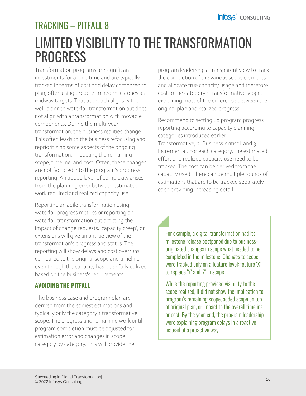### LIMITED VISIBILITY TO THE TRANSFORMATION **PROGRESS** TRACKING – PITFALL 8

Transformation programs are significant investments for a long time and are typically tracked in terms of cost and delay compared to plan, often using predetermined milestones as midway targets. That approach aligns with a well-planned waterfall transformation but does not align with a transformation with movable components. During the multi-year transformation, the business realities change. This often leads to the business refocusing and reprioritizing some aspects of the ongoing transformation, impacting the remaining scope, timeline, and cost. Often, these changes are not factored into the program's progress reporting. An added layer of complexity arises from the planning error between estimated work required and realized capacity use.

Reporting an agile transformation using waterfall progress metrics or reporting on waterfall transformation but omitting the impact of change requests, 'capacity creep', or extensions will give an untrue view of the transformation's progress and status. The reporting will show delays and cost overruns compared to the original scope and timeline even though the capacity has been fully utilized based on the business's requirements.

#### **AVOIDING THE PITFALL**

The business case and program plan are derived from the earliest estimations and typically only the category 1 transformative scope. The progress and remaining work until program completion must be adjusted for estimation error and changes in scope category by category. This will provide the

program leadership a transparent view to track the completion of the various scope elements and allocate true capacity usage and therefore cost to the category 1 transformative scope, explaining most of the difference between the original plan and realized progress.

Recommend to setting up program progress reporting according to capacity planning categories introduced earlier: 1. Transformative, 2. Business-critical, and 3. Incremental. For each category, the estimated effort and realized capacity use need to be tracked. The cost can be derived from the capacity used. There can be multiple rounds of estimations that are to be tracked separately, each providing increasing detail.

For example, a digital transformation had its milestone release postponed due to businessoriginated changes in scope what needed to be completed in the milestone. Changes to scope were tracked only on a feature level: feature 'X' to replace 'Y' and 'Z' in scope.

While the reporting provided visibility to the scope realized, it did not show the implication to program's remaining scope, added scope on top of original plan, or impact to the overall timeline or cost. By the year-end, the program leadership were explaining program delays in a reactive instead of a proactive way.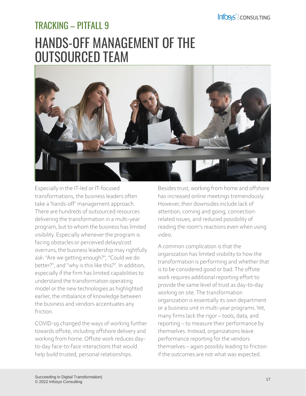### HANDS-OFF MANAGEMENT OF THE OUTSOURCED TEAM TRACKING – PITFALL 9



Especially in the IT-led or IT-focused transformations, the business leaders often take a 'hands-off' management approach. There are hundreds of outsourced resources delivering the transformation in a multi-year program, but to whom the business has limited visibility. Especially whenever the program is facing obstacles or perceived delays/cost overruns, the business leadership may rightfully ask: "Are we getting enough?", "Could we do better?", and "why is this like this?". In addition, especially if the firm has limited capabilities to understand the transformation operating model or the new technologies as highlighted earlier, the imbalance of knowledge between the business and vendors accentuates any friction.

COVID-19 changed the ways of working further towards offsite, including offshore delivery and working from home. Offsite work reduces dayto-day face-to-face interactions that would help build trusted, personal relationships.

Besides trust, working from home and offshore has increased online meetings tremendously. However, their downsides include lack of attention, coming and going, connectionrelated issues, and reduced possibility of reading the room's reactions even when using video.

A common complication is that the organization has limited visibility to how the transformation is performing and whether that is to be considered good or bad. The offsite work requires additional reporting effort to provide the same level of trust as day-to-day working on site. The transformation organization is essentially its own department or a business unit in multi-year programs. Yet, many firms lack the rigor – tools, data, and reporting – to measure their performance by themselves. Instead, organizations leave performance reporting for the vendors themselves – again possibly leading to friction if the outcomes are not what was expected.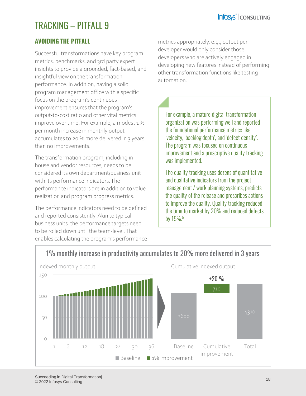### TRACKING – PITFALL 9

#### **AVOIDING THE PITFALL**

Successful transformations have key program metrics, benchmarks, and 3rd party expert insights to provide a grounded, fact-based, and insightful view on the transformation performance. In addition, having a solid program management office with a specific focus on the program's continuous improvement ensures that the program's output-to-cost ratio and other vital metrics improve over time. For example, a modest 1 % per month increase in monthly output accumulates to 20 % more delivered in 3 years than no improvements.

The transformation program, including inhouse and vendor resources, needs to be considered its own department/business unit with its performance indicators. The performance indicators are in addition to value realization and program progress metrics.

The performance indicators need to be defined and reported consistently. Akin to typical business units, the performance targets need to be rolled down until the team-level. That enables calculating the program's performance metrics appropriately, e.g., output per developer would only consider those developers who are actively engaged in developing new features instead of performing other transformation functions like testing automation.

For example, a mature digital transformation organization was performing well and reported the foundational performance metrics like 'velocity, 'backlog depth', and 'defect density'. The program was focused on continuous improvement and a prescriptive quality tracking was implemented.

The quality tracking uses dozens of quantitative and qualitative indicators from the project management / work planning systems, predicts the quality of the release and prescribes actions to improve the quality. Quality tracking reduced the time to market by 20% and reduced defects by 15%.<sup>5</sup>



#### 1% monthly increase in productivity accumulates to 20% more delivered in 3 years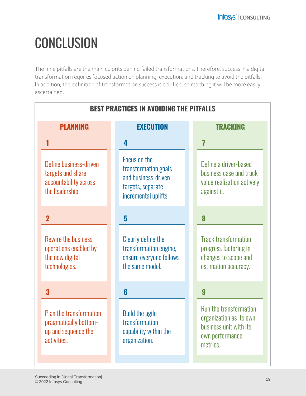# **CONCLUSION**

The nine pitfalls are the main culprits behind failed transformations. Therefore, success in a digital transformation requires focused action on planning, execution, and tracking to avoid the pitfalls. In addition, the definition of transformation success is clarified, so reaching it will be more easily ascertained.

| <b>BEST PRACTICES IN AVOIDING THE PITFALLS</b>                                                |                                                                                                          |                                                                                                            |  |  |  |
|-----------------------------------------------------------------------------------------------|----------------------------------------------------------------------------------------------------------|------------------------------------------------------------------------------------------------------------|--|--|--|
| <b>PLANNING</b>                                                                               | <b>EXECUTION</b>                                                                                         | <b>TRACKING</b>                                                                                            |  |  |  |
|                                                                                               | 4                                                                                                        | 7                                                                                                          |  |  |  |
| Define business-driven<br>targets and share<br>accountability across<br>the leadership.       | Focus on the<br>transformation goals<br>and business-driven<br>targets, separate<br>incremental uplifts. | Define a driver-based<br>business case and track<br>value realization actively<br>against it.              |  |  |  |
| $\overline{2}$                                                                                | 5                                                                                                        | 8                                                                                                          |  |  |  |
| <b>Rewire the business</b><br>operations enabled by<br>the new digital<br>technologies.       | Clearly define the<br>transformation engine,<br>ensure everyone follows<br>the same model.               | <b>Track transformation</b><br>progress factoring in<br>changes to scope and<br>estimation accuracy.       |  |  |  |
| 3                                                                                             | 6                                                                                                        | 9                                                                                                          |  |  |  |
| <b>Plan the transformation</b><br>pragmatically bottom-<br>up and sequence the<br>activities. | <b>Build the agile</b><br>transformation<br>capability within the<br>organization.                       | Run the transformation<br>organization as its own<br>business unit with its<br>own performance<br>metrics. |  |  |  |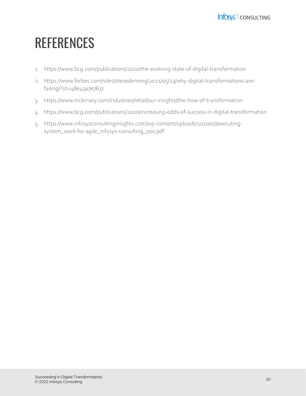# **REFERENCES**

- 1. https://www.bcg.com/publications/2020/the-evolving-state-of-digital-transformation
- 2. https://www.forbes.com/sites/stevedenning/2021/05/23/why-digital-transformations-arefailing/?sh=48e49a7e7617
- 3. https://www.mckinsey.com/industries/retail/our-insights/the-how-of-transformation
- 4. https://www.bcg.com/publications/2020/increasing-odds-of-success-in-digital-transformation
- 5. https://www.infosysconsultinginsights.com/wp-content/uploads/2020/07/executingsystem\_work-for-agile\_infosys-consulting\_pov.pdf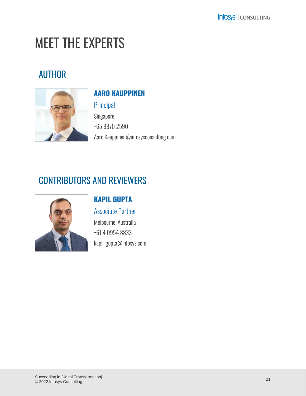# MEET THE EXPERTS

### AUTHOR



### **AARO KAUPPINEN**

#### Principal

Singapore +65 8870 2590 Aaro.Kauppinen@infosysconsulting.com

### CONTRIBUTORS AND REVIEWERS



### **KAPIL GUPTA**

Associate Partner Melbourne, Australia +61 4 0954 8833 kapil\_gupta@infosys.com